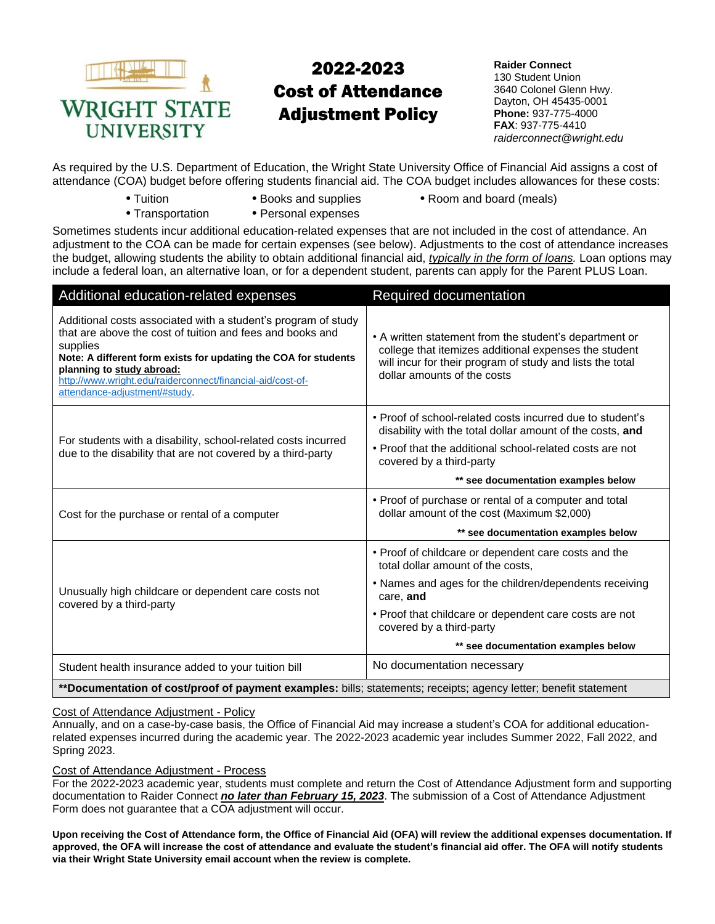

# 2022-2023 Cost of Attendance Adjustment Policy

**Raider Connect**  130 Student Union 3640 Colonel Glenn Hwy. Dayton, OH 45435-0001 **Phone:** 937-775-4000 **FAX**: 937-775-4410 *raiderconnect@wright.edu*

As required by the U.S. Department of Education, the Wright State University Office of Financial Aid assigns a cost of attendance (COA) budget before offering students financial aid. The COA budget includes allowances for these costs:

- 
- 
- **•** Tuition **•** Books and supplies **•** Room and board (meals)
- 
- **•** Transportation **•** Personal expenses
- 
- Sometimes students incur additional education-related expenses that are not included in the cost of attendance. An adjustment to the COA can be made for certain expenses (see below). Adjustments to the cost of attendance increases the budget, allowing students the ability to obtain additional financial aid, *typically in the form of loans.* Loan options may include a federal loan, an alternative loan, or for a dependent student, parents can apply for the Parent PLUS Loan.

| Additional education-related expenses                                                                                                                                                                                                                                                                                                 | Required documentation                                                                                                                                                                                      |  |
|---------------------------------------------------------------------------------------------------------------------------------------------------------------------------------------------------------------------------------------------------------------------------------------------------------------------------------------|-------------------------------------------------------------------------------------------------------------------------------------------------------------------------------------------------------------|--|
| Additional costs associated with a student's program of study<br>that are above the cost of tuition and fees and books and<br>supplies<br>Note: A different form exists for updating the COA for students<br>planning to study abroad:<br>http://www.wright.edu/raiderconnect/financial-aid/cost-of-<br>attendance-adjustment/#study. | • A written statement from the student's department or<br>college that itemizes additional expenses the student<br>will incur for their program of study and lists the total<br>dollar amounts of the costs |  |
|                                                                                                                                                                                                                                                                                                                                       | • Proof of school-related costs incurred due to student's<br>disability with the total dollar amount of the costs, and                                                                                      |  |
| For students with a disability, school-related costs incurred<br>due to the disability that are not covered by a third-party                                                                                                                                                                                                          | • Proof that the additional school-related costs are not<br>covered by a third-party                                                                                                                        |  |
|                                                                                                                                                                                                                                                                                                                                       | ** see documentation examples below                                                                                                                                                                         |  |
| Cost for the purchase or rental of a computer                                                                                                                                                                                                                                                                                         | • Proof of purchase or rental of a computer and total<br>dollar amount of the cost (Maximum \$2,000)                                                                                                        |  |
|                                                                                                                                                                                                                                                                                                                                       | ** see documentation examples below                                                                                                                                                                         |  |
|                                                                                                                                                                                                                                                                                                                                       | • Proof of childcare or dependent care costs and the<br>total dollar amount of the costs,                                                                                                                   |  |
| Unusually high childcare or dependent care costs not<br>covered by a third-party                                                                                                                                                                                                                                                      | • Names and ages for the children/dependents receiving<br>care, and                                                                                                                                         |  |
|                                                                                                                                                                                                                                                                                                                                       | • Proof that childcare or dependent care costs are not<br>covered by a third-party                                                                                                                          |  |
|                                                                                                                                                                                                                                                                                                                                       | ** see documentation examples below                                                                                                                                                                         |  |
| Student health insurance added to your tuition bill                                                                                                                                                                                                                                                                                   | No documentation necessary                                                                                                                                                                                  |  |
|                                                                                                                                                                                                                                                                                                                                       |                                                                                                                                                                                                             |  |

**\*\*Documentation of cost/proof of payment examples:** bills; statements; receipts; agency letter; benefit statement

#### Cost of Attendance Adjustment - Policy

Annually, and on a case-by-case basis, the Office of Financial Aid may increase a student's COA for additional educationrelated expenses incurred during the academic year. The 2022-2023 academic year includes Summer 2022, Fall 2022, and Spring 2023.

#### Cost of Attendance Adjustment - Process

For the 2022-2023 academic year, students must complete and return the Cost of Attendance Adjustment form and supporting documentation to Raider Connect *no later than February 15, 2023*. The submission of a Cost of Attendance Adjustment Form does not guarantee that a COA adjustment will occur.

**Upon receiving the Cost of Attendance form, the Office of Financial Aid (OFA) will review the additional expenses documentation. If approved, the OFA will increase the cost of attendance and evaluate the student's financial aid offer. The OFA will notify students via their Wright State University email account when the review is complete.**